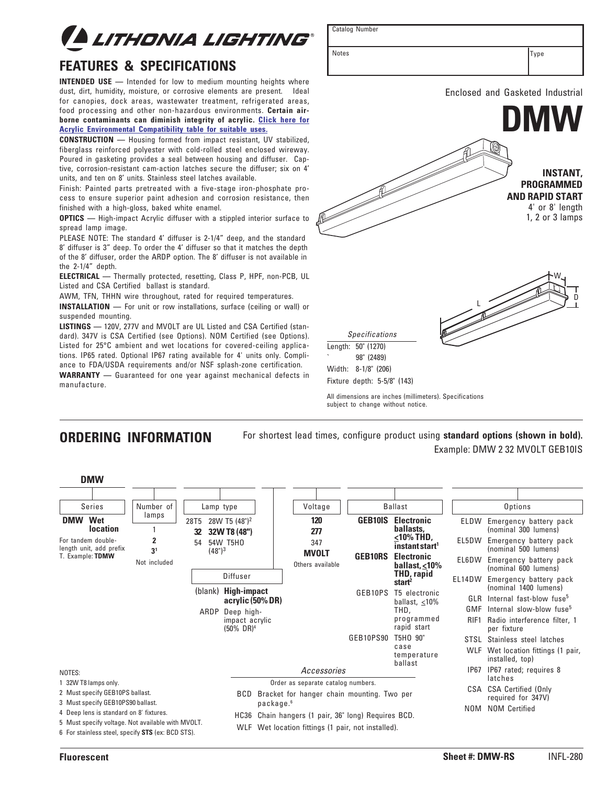

# **FEATURES & SPECIFICATIONS**

**INTENDED USE —** Intended for low to medium mounting heights where dust, dirt, humidity, moisture, or corrosive elements are present. Ideal for canopies, dock areas, wastewater treatment, refrigerated areas, food processing and other non-hazardous environments. **Certain airborne contaminants can diminish integrity of acrylic. Click here for [Acrylic Environmental Compatibility table for suitable uses.](http://www.acuitybrandslighting.com/Library/LL/documents/specsheets/Acrylic-Compatibility.pdf)**

**CONSTRUCTION —** Housing formed from impact resistant, UV stabilized, fiberglass reinforced polyester with cold-rolled steel enclosed wireway. Poured in gasketing provides a seal between housing and diffuser. Captive, corrosion-resistant cam-action latches secure the diffuser; six on 4' units, and ten on 8' units. Stainless steel latches available.

Finish: Painted parts pretreated with a five-stage iron-phosphate process to ensure superior paint adhesion and corrosion resistance, then finished with a high-gloss, baked white enamel.

**OPTICS** — High-impact Acrylic diffuser with a stippled interior surface to spread lamp image.

PLEASE NOTE: The standard 4' diffuser is 2-1/4" deep, and the standard 8' diffuser is 3" deep. To order the 4' diffuser so that it matches the depth of the 8' diffuser, order the ARDP option. The 8' diffuser is not available in the 2-1/4" depth.

**ELECTRICAL —** Thermally protected, resetting, Class P, HPF, non-PCB, UL Listed and CSA Certified ballast is standard.

AWM, TFN, THHN wire throughout, rated for required temperatures.

**INSTALLATION —** For unit or row installations, surface (ceiling or wall) or suspended mounting.

**LISTINGS —** 120V, 277V and MVOLT are UL Listed and CSA Certified (standard). 347V is CSA Certified (see Options). NOM Certified (see Options). Listed for 25°C ambient and wet locations for covered-ceiling applications. IP65 rated. Optional IP67 rating available for 4' units only. Compliance to FDA/USDA requirements and/or NSF splash-zone certification.

**WARRANTY —** Guaranteed for one year against mechanical defects in manufacture.



All dimensions are inches (millimeters). Specifications subject to change without notice.

Catalog Number

## **ORDERING INFORMATION**

For shortest lead times, configure product using **standard options (shown in bold).** Example: DMW 2 32 MVOLT GEB10IS

| <b>DMW</b>                                                                                             |                     |                                                   |                                                  |                                                                                                  |                                           |                                             |                                                |                                                                                     |  |
|--------------------------------------------------------------------------------------------------------|---------------------|---------------------------------------------------|--------------------------------------------------|--------------------------------------------------------------------------------------------------|-------------------------------------------|---------------------------------------------|------------------------------------------------|-------------------------------------------------------------------------------------|--|
| <b>Series</b><br>Wet<br><b>DMW</b>                                                                     | Number of<br>lamps  | Lamp type                                         |                                                  | Voltage<br>120                                                                                   | <b>Ballast</b>                            |                                             | Options                                        |                                                                                     |  |
| <b>location</b>                                                                                        |                     | 28T5<br>32                                        | 28W T5 (48") <sup>2</sup><br>32W T8 (48")        | 277                                                                                              | <b>GEB10IS</b>                            | <b>Electronic</b><br>ballasts.<br><10% THD, | ELDW                                           | Emergency battery pack<br>(nominal 300 lumens)                                      |  |
| For tandem double-<br>length unit, add prefix                                                          | 2<br>3 <sup>1</sup> | 54W T5H0<br>54<br>(48 <sup>n</sup> ) <sup>3</sup> |                                                  | 347<br><b>MVOLT</b>                                                                              |                                           | instant start <sup>1</sup>                  | EL5DW                                          | Emergency battery pack<br>(nominal 500 lumens)                                      |  |
| T. Example: TDMW                                                                                       | Not included        |                                                   | Others available                                 | <b>GEB10RS</b>                                                                                   | <b>Electronic</b><br>ballast, $\leq 10\%$ | EL6DW                                       | Emergency battery pack<br>(nominal 600 lumens) |                                                                                     |  |
|                                                                                                        |                     |                                                   | Diffuser                                         |                                                                                                  |                                           | <b>THD, rapid</b><br>start <sup>2</sup>     | EL14DW                                         | Emergency battery pack<br>(nominal 1400 lumens)                                     |  |
|                                                                                                        |                     | (blank)                                           | <b>High-impact</b><br>acrylic (50% DR)           |                                                                                                  | GEB10PS                                   | T5 electronic<br>ballast, $<$ 10%           | GLR                                            | Internal fast-blow fuse <sup>5</sup>                                                |  |
|                                                                                                        |                     | ARDP                                              | Deep high-<br>impact acrylic<br>$(50\% \; DR)^4$ |                                                                                                  |                                           | THD.<br>programmed<br>rapid start           | GMF<br>RIF1                                    | Internal slow-blow fuse <sup>5</sup><br>Radio interference filter, 1<br>per fixture |  |
|                                                                                                        |                     |                                                   |                                                  |                                                                                                  | GEB10PS90                                 | T5HO 90"                                    | STSL                                           | Stainless steel latches                                                             |  |
|                                                                                                        |                     |                                                   |                                                  |                                                                                                  |                                           | case<br>temperature<br>ballast              | WLF                                            | Wet location fittings (1 pair,<br>installed, top)                                   |  |
| NOTES:                                                                                                 |                     |                                                   |                                                  | Accessories                                                                                      |                                           |                                             | IP67                                           | IP67 rated; requires 8                                                              |  |
| 1 32W T8 lamps only.                                                                                   |                     |                                                   |                                                  | Order as separate catalog numbers.                                                               |                                           |                                             |                                                | latches                                                                             |  |
| 2 Must specify GEB10PS ballast.<br>3 Must specify GEB10PS90 ballast.                                   |                     |                                                   | BCD.                                             | Bracket for hanger chain mounting. Two per<br>package. <sup>6</sup>                              |                                           |                                             |                                                | CSA CSA Certified (Only<br>required for 347V)                                       |  |
| 4 Deep lens is standard on 8' fixtures.                                                                |                     |                                                   | HC36                                             |                                                                                                  | <b>NOM</b>                                | <b>NOM Certified</b>                        |                                                |                                                                                     |  |
| 5 Must specify voltage. Not available with MVOLT.<br>6 For stainless steel, specify STS (ex: BCD STS). |                     |                                                   | WLF                                              | Chain hangers (1 pair, 36" long) Requires BCD.<br>Wet location fittings (1 pair, not installed). |                                           |                                             |                                                |                                                                                     |  |

Notes **Type**